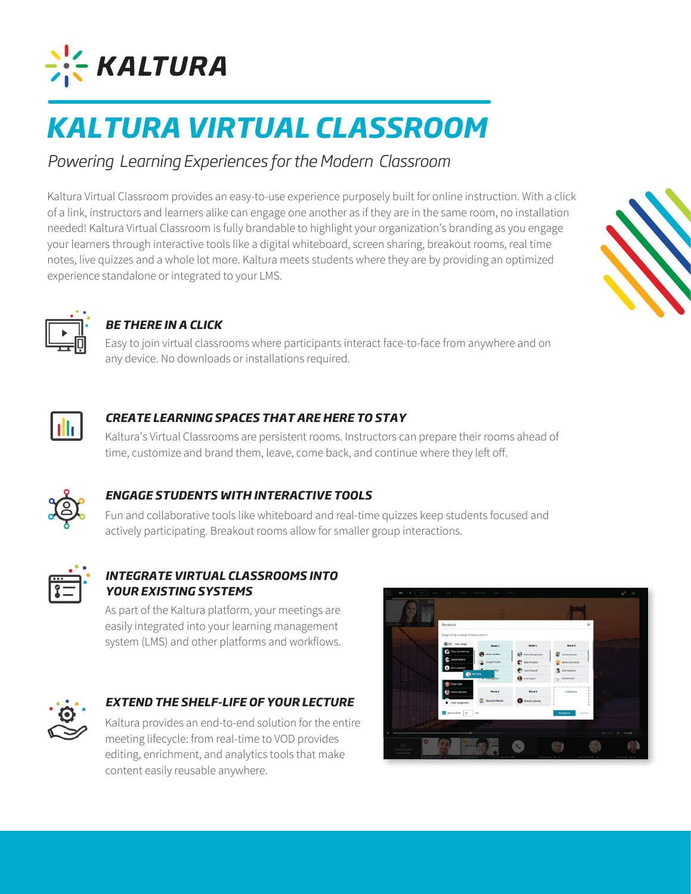

# *KALTURA VIRTUAL CLASSROOM*

# *Powering Learning Experiences for the Modern Classroom*

Kaltura Virtual Classroom provides an easy-to-use experience purposely built for online instruction. With a click of a link, instructors and learners alike can engage one another as if they are in the same room, no installation needed! Kaltura Virtual Classroom is fully brandable to highlight your organization's branding as you engage your learners through interactive tools like a digital whiteboard, screen sharing, breakout rooms, real time notes, live quizzes and a whole lot more. Kaltura meets students where they are by providing an optimized experience standalone or integrated to your LMS.





# *BE THERE IN A CLICK*

Easy to join virtual classrooms where participants interact face-to-face from anywhere and on any device. No downloads or installations required.



# *CREATE LEARNING SPACES THAT ARE HERE TO STAY*

Kaltura's Virtual Classrooms are persistent rooms. Instructors can prepare their rooms ahead of time, customize and brand them, leave, come back, and continue where they left off.



# *ENGAGE STUDENTS WITH INTERACTIVE TOOLS*

Fun and collaborative tools like whiteboard and real-time quizzes keep students focused and actively participating. Breakout rooms allow for smaller group interactions.



# *INTEGRATE VIRTUAL CLASSROOMS INTO YOUR EXISTING SYSTEMS*

As part of the Kaltura platform, your meetings are easily integrated into your learning management system (LMS) and other platforms and workflows.



### *EXTEND THE SHELF-LIFE OF YOUR LECTURE*

Kaltura provides an end-to-end solution for the entire meeting lifecycle: from real-time to VOD provides editing, enrichment, and analytics tools that make content easily reusable anywhere.